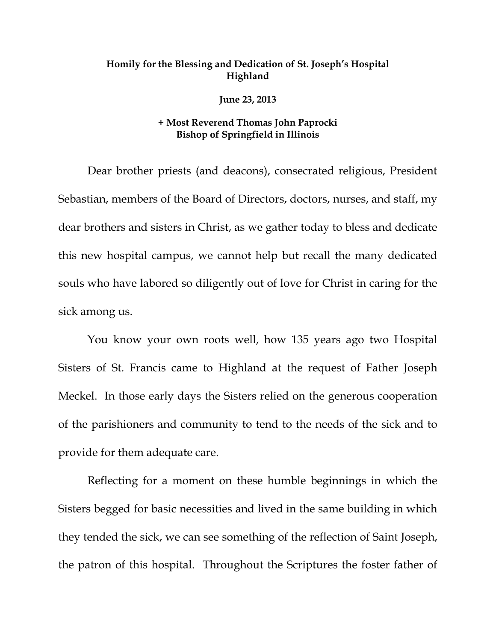## **Homily for the Blessing and Dedication of St. Joseph's Hospital Highland**

## **June 23, 2013**

## **+ Most Reverend Thomas John Paprocki Bishop of Springfield in Illinois**

Dear brother priests (and deacons), consecrated religious, President Sebastian, members of the Board of Directors, doctors, nurses, and staff, my dear brothers and sisters in Christ, as we gather today to bless and dedicate this new hospital campus, we cannot help but recall the many dedicated souls who have labored so diligently out of love for Christ in caring for the sick among us.

 You know your own roots well, how 135 years ago two Hospital Sisters of St. Francis came to Highland at the request of Father Joseph Meckel. In those early days the Sisters relied on the generous cooperation of the parishioners and community to tend to the needs of the sick and to provide for them adequate care.

 Reflecting for a moment on these humble beginnings in which the Sisters begged for basic necessities and lived in the same building in which they tended the sick, we can see something of the reflection of Saint Joseph, the patron of this hospital. Throughout the Scriptures the foster father of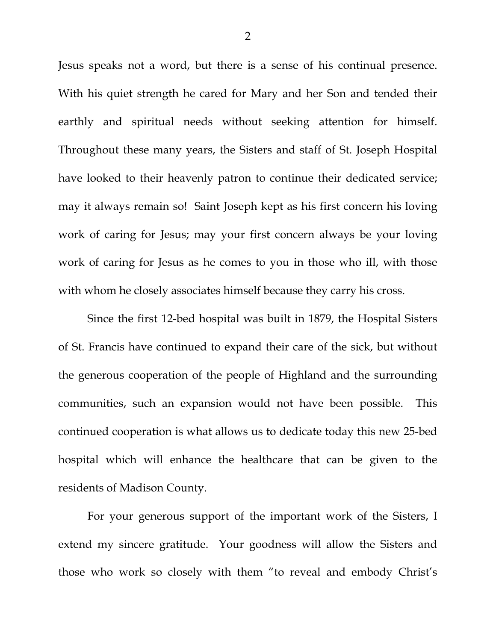Jesus speaks not a word, but there is a sense of his continual presence. With his quiet strength he cared for Mary and her Son and tended their earthly and spiritual needs without seeking attention for himself. Throughout these many years, the Sisters and staff of St. Joseph Hospital have looked to their heavenly patron to continue their dedicated service; may it always remain so! Saint Joseph kept as his first concern his loving work of caring for Jesus; may your first concern always be your loving work of caring for Jesus as he comes to you in those who ill, with those with whom he closely associates himself because they carry his cross.

 Since the first 12-bed hospital was built in 1879, the Hospital Sisters of St. Francis have continued to expand their care of the sick, but without the generous cooperation of the people of Highland and the surrounding communities, such an expansion would not have been possible. This continued cooperation is what allows us to dedicate today this new 25-bed hospital which will enhance the healthcare that can be given to the residents of Madison County.

 For your generous support of the important work of the Sisters, I extend my sincere gratitude. Your goodness will allow the Sisters and those who work so closely with them "to reveal and embody Christ's